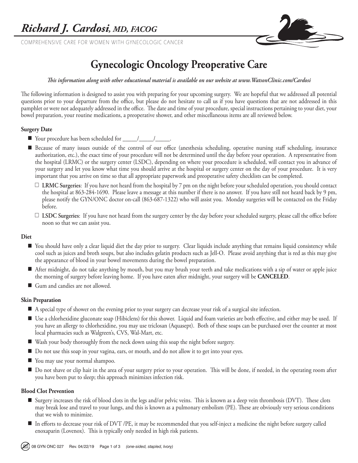COMPREHENSIVE CARE FOR WOMEN WITH GYNECOLOGIC CANCER



# **Gynecologic Oncology Preoperative Care**

#### *This information along with other educational material is available on our website at www.WatsonClinic.com/Cardosi*

The following information is designed to assist you with preparing for your upcoming surgery. We are hopeful that we addressed all potential questions prior to your departure from the office, but please do not hesitate to call us if you have questions that are not addressed in this pamphlet or were not adequately addressed in the office. The date and time of your procedure, special instructions pertaining to your diet, your bowel preparation, your routine medications, a preoperative shower, and other miscellaneous items are all reviewed below.

## **Surgery Date**

- Your procedure has been scheduled for \_\_\_\_\_/\_\_\_\_\_/\_\_\_\_\_.
- Because of many issues outside of the control of our office (anesthesia scheduling, operative nursing staff scheduling, insurance authorization, etc.), the exact time of your procedure will not be determined until the day before your operation. A representative from the hospital (LRMC) or the surgery center (LSDC), depending on where your procedure is scheduled, will contact you in advance of your surgery and let you know what time you should arrive at the hospital or surgery center on the day of your procedure. It is very important that you arrive on time so that all appropriate paperwork and preoperative safety checklists can be completed.
	- **LRMC Surgeries**: If you have not heard from the hospital by 7 pm on the night before your scheduled operation, you should contact the hospital at 863-284-1690. Please leave a message at this number if there is no answer. If you have still not heard back by 9 pm, please notify the GYN/ONC doctor on-call (863-687-1322) who will assist you. Monday surgeries will be contacted on the Friday before.
	- **LSDC Surgeries**: If you have not heard from the surgery center by the day before your scheduled surgery, please call the office before noon so that we can assist you.

## **Diet**

- You should have only a clear liquid diet the day prior to surgery. Clear liquids include anything that remains liquid consistency while cool such as juices and broth soups, but also includes gelatin products such as Jell-O. Please avoid anything that is red as this may give the appearance of blood in your bowel movements during the bowel preparation.
- After midnight, do not take anything by mouth, but you may brush your teeth and take medications with a sip of water or apple juice the morning of surgery before leaving home. If you have eaten after midnight, your surgery will be **CANCELED**.
- Gum and candies are not allowed.

## **Skin Preparation**

- A special type of shower on the evening prior to your surgery can decrease your risk of a surgical site infection.
- Use a chlorhexidine gluconate soap (Hibiclens) for this shower. Liquid and foam varieties are both effective, and either may be used. If you have an allergy to chlorhexidine, you may use triclosan (Aquasept). Both of these soaps can be purchased over the counter at most local pharmacies such as Walgreen's, CVS, Wal-Mart, etc.
- Wash your body thoroughly from the neck down using this soap the night before surgery.
- Do not use this soap in your vagina, ears, or mouth, and do not allow it to get into your eyes.
- You may use your normal shampoo.
- Do not shave or clip hair in the area of your surgery prior to your operation. This will be done, if needed, in the operating room after you have been put to sleep; this approach minimizes infection risk.

#### **Blood Clot Prevention**

- Surgery increases the risk of blood clots in the legs and/or pelvic veins. This is known as a deep vein thrombosis (DVT). These clots may break lose and travel to your lungs, and this is known as a pulmonary embolism (PE). These are obviously very serious conditions that we wish to minimize.
- In efforts to decrease your risk of DVT /PE, it may be recommended that you self-inject a medicine the night before surgery called enoxaparin (Lovenox). This is typically only needed in high risk patients.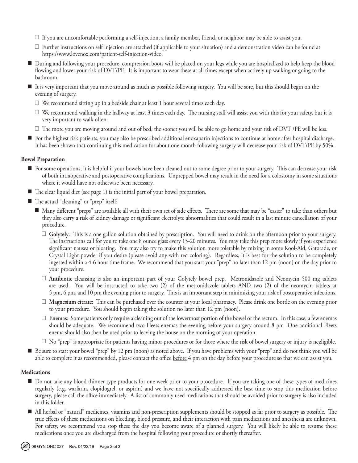- $\Box$  If you are uncomfortable performing a self-injection, a family member, friend, or neighbor may be able to assist you.
- $\Box$  Further instructions on self injection are attached (if applicable to your situation) and a demonstration video can be found at https://www.lovenox.com/patient-self-injection-video.
- During and following your procedure, compression boots will be placed on your legs while you are hospitalized to help keep the blood flowing and lower your risk of DVT/PE. It is important to wear these at all times except when actively up walking or going to the bathroom.
- It is very important that you move around as much as possible following surgery. You will be sore, but this should begin on the evening of surgery.
	- $\Box$  We recommend sitting up in a bedside chair at least 1 hour several times each day.
	- $\Box$  We recommend walking in the hallway at least 3 times each day. The nursing staff will assist you with this for your safety, but it is very important to walk often.
	- $\Box$  The more you are moving around and out of bed, the sooner you will be able to go home and your risk of DVT /PE will be less.
- For the highest risk patients, you may also be prescribed additional enoxaparin injections to continue at home after hospital discharge. It has been shown that continuing this medication for about one month following surgery will decrease your risk of DVT/PE by 50%.

## **Bowel Preparation**

- For some operations, it is helpful if your bowels have been cleaned out to some degree prior to your surgery. This can decrease your risk of both intraoperative and postoperative complications. Unprepped bowel may result in the need for a colostomy in some situations where it would have not otherwise been necessary.
- $\blacksquare$  The clear liquid diet (see page 1) is the initial part of your bowel preparation.
- The actual "cleaning" or "prep" itself:
	- Many different "preps" are available all with their own set of side effects. There are some that may be "easier" to take than others but they also carry a risk of kidney damage or significant electrolyte abnormalities that could result in a last minute cancellation of your procedure.
		- **Golytely**: This is a one gallon solution obtained by prescription. You will need to drink on the afternoon prior to your surgery. The instructions call for you to take one 8 ounce glass every 15-20 minutes. You may take this prep more slowly if you experience significant nausea or bloating. You may also try to make this solution more tolerable by mixing in some Kool-Aid, Gatorade, or Crystal Light powder if you desire (please avoid any with red coloring). Regardless, it is best for the solution to be completely ingested within a 4-6 hour time frame. We recommend that you start your "prep" no later than 12 pm (noon) on the day prior to your procedure.
		- **Antibiotic** cleansing is also an important part of your Golytely bowel prep. Metronidazole and Neomycin 500 mg tablets are used. You will be instructed to take two (2) of the metronidazole tablets AND two (2) of the neomycin tablets at 5 pm, 6 pm, and 10 pm the evening prior to surgery. This is an important step in minimizing your risk of postoperative infections.
		- **Magnesium citrate**: This can be purchased over the counter at your local pharmacy. Please drink one bottle on the evening prior to your procedure. You should begin taking the solution no later than 12 pm (noon).
		- **Enemas**: Some patients only require a cleaning out of the lowermost portion of the bowel or the rectum. In this case, a few enemas should be adequate. We recommend two Fleets enemas the evening before your surgery around 8 pm One additional Fleets enema should also then be used prior to leaving the house on the morning of your operation.
		- $\Box$  No "prep" is appropriate for patients having minor procedures or for those where the risk of bowel surgery or injury is negligible.
- Be sure to start your bowel "prep" by 12 pm (noon) as noted above. If you have problems with your "prep" and do not think you will be able to complete it as recommended, please contact the office before 4 pm on the day before your procedure so that we can assist you.

#### **Medications**

- Do not take any blood thinner type products for one week prior to your procedure. If you are taking one of these types of medicines regularly (e.g. warfarin, clopidogrel, or aspirin) and we have not specifically addressed the best time to stop this medication before surgery, please call the office immediately. A list of commonly used medications that should be avoided prior to surgery is also included in this folder.
- All herbal or "natural" medicines, vitamins and non-prescription supplements should be stopped as far prior to surgery as possible. The true effects of these medications on bleeding, blood pressure, and their interaction with pain medications and anesthesia are unknown. For safety, we recommend you stop these the day you become aware of a planned surgery. You will likely be able to resume these medications once you are discharged from the hospital following your procedure or shortly thereafter.